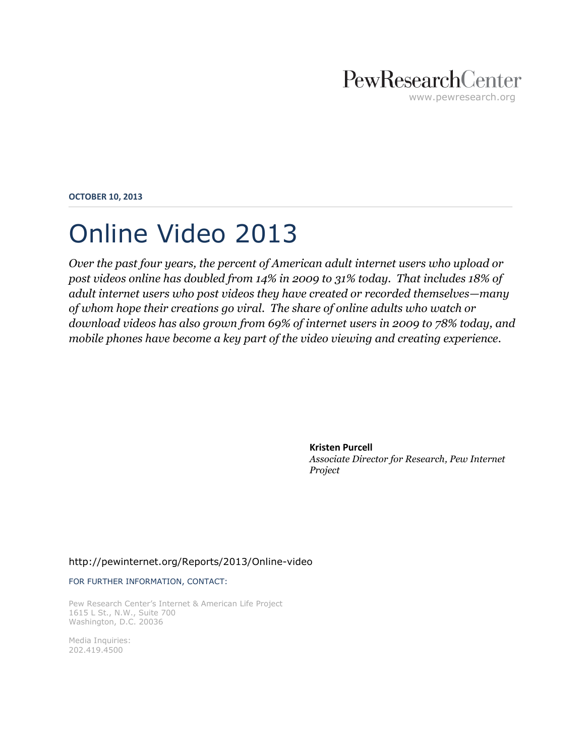## PewResearchCenter www.pewresearch.org

**OCTOBER 10, 2013**

## Online Video 2013

*Over the past four years, the percent of American adult internet users who upload or post videos online has doubled from 14% in 2009 to 31% today. That includes 18% of adult internet users who post videos they have created or recorded themselves—many of whom hope their creations go viral. The share of online adults who watch or download videos has also grown from 69% of internet users in 2009 to 78% today, and mobile phones have become a key part of the video viewing and creating experience.*

> **Kristen Purcell** *Associate Director for Research, Pew Internet Project*

#### <http://pewinternet.org/Reports/2013/Online-video>

FOR FURTHER INFORMATION, CONTACT:

Pew Research Center's Internet & American Life Project 1615 L St., N.W., Suite 700 Washington, D.C. 20036

Media Inquiries: 202.419.4500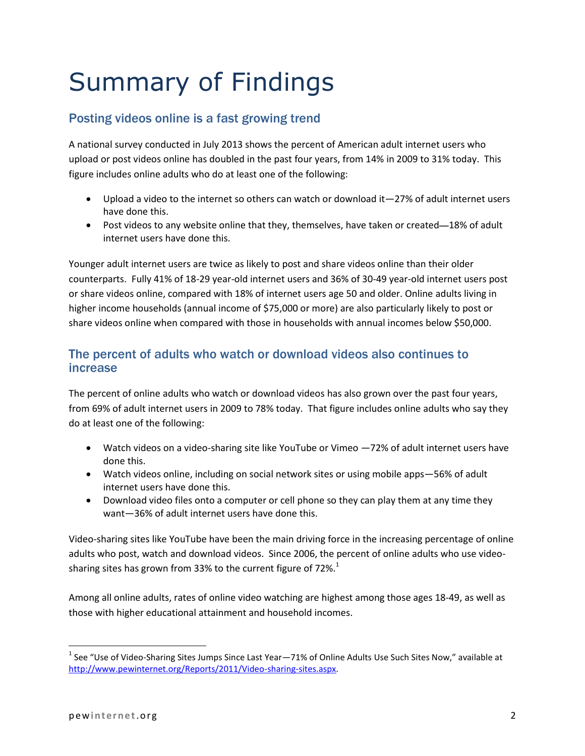# Summary of Findings

## Posting videos online is a fast growing trend

A national survey conducted in July 2013 shows the percent of American adult internet users who upload or post videos online has doubled in the past four years, from 14% in 2009 to 31% today. This figure includes online adults who do at least one of the following:

- Upload a video to the internet so others can watch or download it—27% of adult internet users have done this.
- Post videos to any website online that they, themselves, have taken or created—18% of adult internet users have done this.

Younger adult internet users are twice as likely to post and share videos online than their older counterparts. Fully 41% of 18-29 year-old internet users and 36% of 30-49 year-old internet users post or share videos online, compared with 18% of internet users age 50 and older. Online adults living in higher income households (annual income of \$75,000 or more) are also particularly likely to post or share videos online when compared with those in households with annual incomes below \$50,000.

#### The percent of adults who watch or download videos also continues to increase

The percent of online adults who watch or download videos has also grown over the past four years, from 69% of adult internet users in 2009 to 78% today. That figure includes online adults who say they do at least one of the following:

- Watch videos on a video-sharing site like YouTube or Vimeo —72% of adult internet users have done this.
- Watch videos online, including on social network sites or using mobile apps—56% of adult internet users have done this.
- Download video files onto a computer or cell phone so they can play them at any time they want—36% of adult internet users have done this.

Video-sharing sites like YouTube have been the main driving force in the increasing percentage of online adults who post, watch and download videos. Since 2006, the percent of online adults who use videosharing sites has grown from 33% to the current figure of 72%. $^1$ 

Among all online adults, rates of online video watching are highest among those ages 18-49, as well as those with higher educational attainment and household incomes.

 $\overline{\phantom{a}}$ 

<sup>&</sup>lt;sup>1</sup> See "Use of Video-Sharing Sites Jumps Since Last Year—71% of Online Adults Use Such Sites Now," available at [http://www.pewinternet.org/Reports/2011/Video-sharing-sites.aspx.](http://www.pewinternet.org/Reports/2011/Video-sharing-sites.aspx)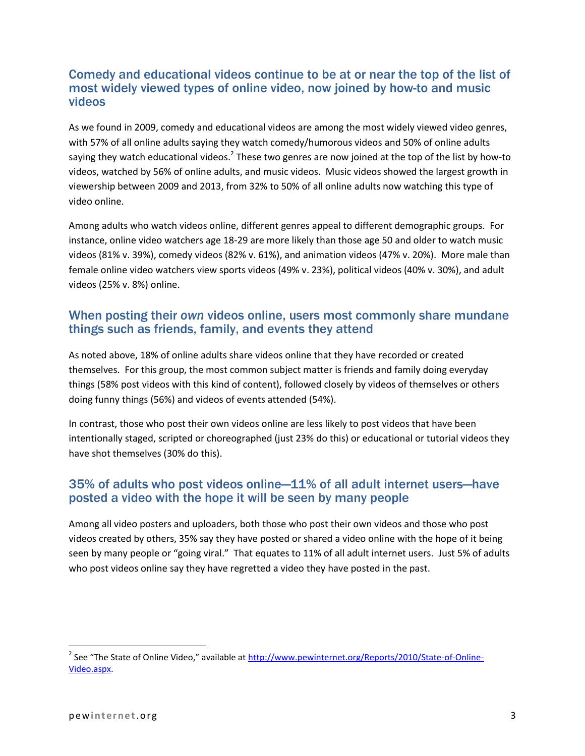#### Comedy and educational videos continue to be at or near the top of the list of most widely viewed types of online video, now joined by how-to and music videos

As we found in 2009, comedy and educational videos are among the most widely viewed video genres, with 57% of all online adults saying they watch comedy/humorous videos and 50% of online adults saying they watch educational videos.<sup>2</sup> These two genres are now joined at the top of the list by how-to videos, watched by 56% of online adults, and music videos. Music videos showed the largest growth in viewership between 2009 and 2013, from 32% to 50% of all online adults now watching this type of video online.

Among adults who watch videos online, different genres appeal to different demographic groups. For instance, online video watchers age 18-29 are more likely than those age 50 and older to watch music videos (81% v. 39%), comedy videos (82% v. 61%), and animation videos (47% v. 20%). More male than female online video watchers view sports videos (49% v. 23%), political videos (40% v. 30%), and adult videos (25% v. 8%) online.

#### When posting their *own* videos online, users most commonly share mundane things such as friends, family, and events they attend

As noted above, 18% of online adults share videos online that they have recorded or created themselves. For this group, the most common subject matter is friends and family doing everyday things (58% post videos with this kind of content), followed closely by videos of themselves or others doing funny things (56%) and videos of events attended (54%).

In contrast, those who post their own videos online are less likely to post videos that have been intentionally staged, scripted or choreographed (just 23% do this) or educational or tutorial videos they have shot themselves (30% do this).

## 35% of adults who post videos online—11% of all adult internet users—have posted a video with the hope it will be seen by many people

Among all video posters and uploaders, both those who post their own videos and those who post videos created by others, 35% say they have posted or shared a video online with the hope of it being seen by many people or "going viral." That equates to 11% of all adult internet users. Just 5% of adults who post videos online say they have regretted a video they have posted in the past.

 $\overline{\phantom{a}}$ 

<sup>&</sup>lt;sup>2</sup> See "The State of Online Video," available at <u>http://www.pewinternet.org/Reports/2010/State-of-Online-</u> [Video.aspx.](http://www.pewinternet.org/Reports/2010/State-of-Online-Video.aspx)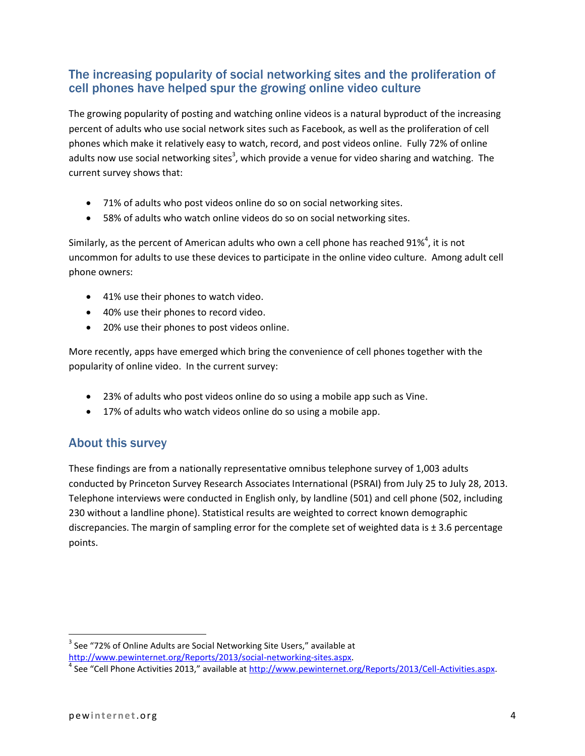## The increasing popularity of social networking sites and the proliferation of cell phones have helped spur the growing online video culture

The growing popularity of posting and watching online videos is a natural byproduct of the increasing percent of adults who use social network sites such as Facebook, as well as the proliferation of cell phones which make it relatively easy to watch, record, and post videos online. Fully 72% of online adults now use social networking sites<sup>3</sup>, which provide a venue for video sharing and watching. The current survey shows that:

- 71% of adults who post videos online do so on social networking sites.
- 58% of adults who watch online videos do so on social networking sites.

Similarly, as the percent of American adults who own a cell phone has reached 91%<sup>4</sup>, it is not uncommon for adults to use these devices to participate in the online video culture. Among adult cell phone owners:

- 41% use their phones to watch video.
- 40% use their phones to record video.
- 20% use their phones to post videos online.

More recently, apps have emerged which bring the convenience of cell phones together with the popularity of online video. In the current survey:

- 23% of adults who post videos online do so using a mobile app such as Vine.
- 17% of adults who watch videos online do so using a mobile app.

#### About this survey

These findings are from a nationally representative omnibus telephone survey of 1,003 adults conducted by Princeton Survey Research Associates International (PSRAI) from July 25 to July 28, 2013. Telephone interviews were conducted in English only, by landline (501) and cell phone (502, including 230 without a landline phone). Statistical results are weighted to correct known demographic discrepancies. The margin of sampling error for the complete set of weighted data is ± 3.6 percentage points.

 $\overline{\phantom{a}}$  $3$  See "72% of Online Adults are Social Networking Site Users," available at [http://www.pewinternet.org/Reports/2013/social-networking-sites.aspx.](http://www.pewinternet.org/Reports/2013/social-networking-sites.aspx)

<sup>&</sup>lt;sup>4</sup> See "Cell Phone Activities 2013," available at [http://www.pewinternet.org/Reports/2013/Cell-Activities.aspx.](http://www.pewinternet.org/Reports/2013/Cell-Activities.aspx)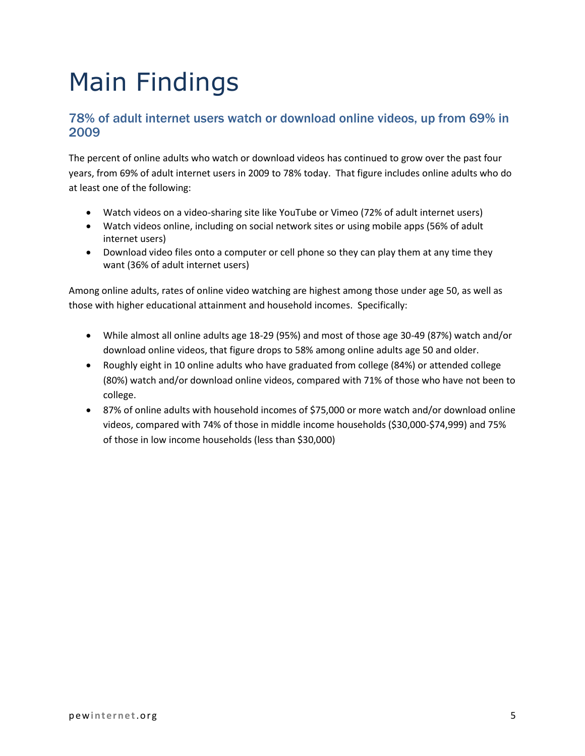# Main Findings

#### 78% of adult internet users watch or download online videos, up from 69% in 2009

The percent of online adults who watch or download videos has continued to grow over the past four years, from 69% of adult internet users in 2009 to 78% today. That figure includes online adults who do at least one of the following:

- Watch videos on a video-sharing site like YouTube or Vimeo (72% of adult internet users)
- Watch videos online, including on social network sites or using mobile apps (56% of adult internet users)
- Download video files onto a computer or cell phone so they can play them at any time they want (36% of adult internet users)

Among online adults, rates of online video watching are highest among those under age 50, as well as those with higher educational attainment and household incomes. Specifically:

- While almost all online adults age 18-29 (95%) and most of those age 30-49 (87%) watch and/or download online videos, that figure drops to 58% among online adults age 50 and older.
- Roughly eight in 10 online adults who have graduated from college (84%) or attended college (80%) watch and/or download online videos, compared with 71% of those who have not been to college.
- 87% of online adults with household incomes of \$75,000 or more watch and/or download online videos, compared with 74% of those in middle income households (\$30,000-\$74,999) and 75% of those in low income households (less than \$30,000)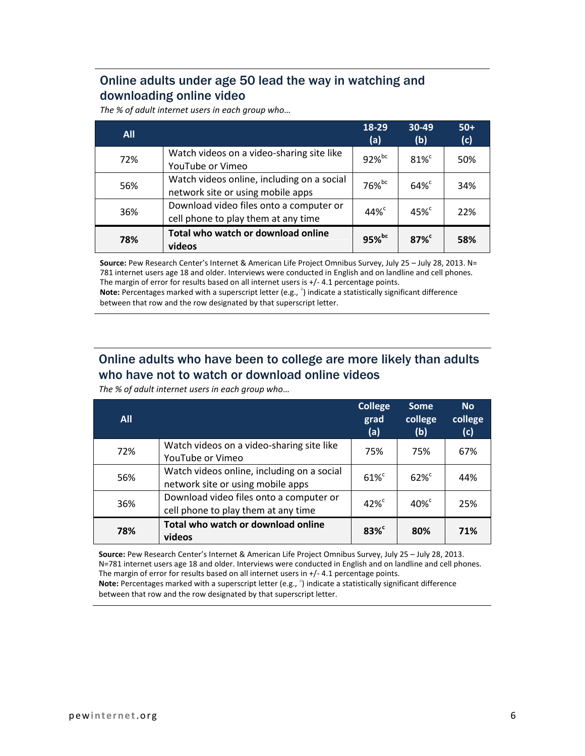## Online adults under age 50 lead the way in watching and downloading online video

*The % of adult internet users in each group who…*

| <b>All</b> |                                                                                 | 18-29<br>(a)         | 30-49<br>(b)        | $50+$<br>(c) |
|------------|---------------------------------------------------------------------------------|----------------------|---------------------|--------------|
| 72%        | Watch videos on a video-sharing site like<br>YouTube or Vimeo                   | $92\%$ <sub>bc</sub> | $81\%$ <sup>c</sup> | 50%          |
| 56%        | Watch videos online, including on a social<br>network site or using mobile apps | $76%$ <sub>bc</sub>  | $64\%$              | 34%          |
| 36%        | Download video files onto a computer or<br>cell phone to play them at any time  | $44\%$ <sup>c</sup>  | $45%^{\circ}$       | 22%          |
| 78%        | Total who watch or download online<br>videos                                    | $95%$ <sub>bc</sub>  | 87%                 | 58%          |

**Source:** Pew Research Center's Internet & American Life Project Omnibus Survey, July 25 – July 28, 2013. N= 781 internet users age 18 and older. Interviews were conducted in English and on landline and cell phones. The margin of error for results based on all internet users is +/- 4.1 percentage points. Note: Percentages marked with a superscript letter (e.g., <sup>a</sup>) indicate a statistically significant difference

between that row and the row designated by that superscript letter.

## Online adults who have been to college are more likely than adults who have not to watch or download online videos

*The % of adult internet users in each group who…*

| <b>All</b> |                                                                                 | <b>College</b><br>grad<br>(a) | <b>Some</b><br>college<br>(b) | <b>No</b><br>college<br>(c) |
|------------|---------------------------------------------------------------------------------|-------------------------------|-------------------------------|-----------------------------|
| 72%        | Watch videos on a video-sharing site like<br>YouTube or Vimeo                   | 75%                           | 75%                           | 67%                         |
| 56%        | Watch videos online, including on a social<br>network site or using mobile apps | $61\%$ <sup>c</sup>           | $62\%$ <sup>c</sup>           | 44%                         |
| 36%        | Download video files onto a computer or<br>cell phone to play them at any time  | $42\%$ <sup>c</sup>           | $40\%$ <sup>c</sup>           | 25%                         |
| 78%        | Total who watch or download online<br>videos                                    | $83\%$                        | 80%                           | 71%                         |

**Source:** Pew Research Center's Internet & American Life Project Omnibus Survey, July 25 – July 28, 2013. N=781 internet users age 18 and older. Interviews were conducted in English and on landline and cell phones. The margin of error for results based on all internet users in +/- 4.1 percentage points. Note: Percentages marked with a superscript letter (e.g., <sup>a</sup>) indicate a statistically significant difference between that row and the row designated by that superscript letter.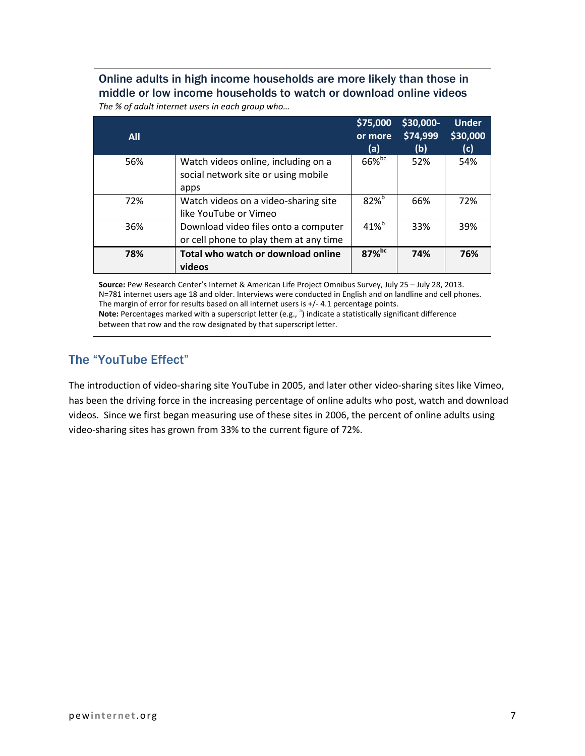#### Online adults in high income households are more likely than those in middle or low income households to watch or download online videos *The % of adult internet users in each group who…*

| <b>All</b> |                                                                                    | \$75,000<br>or more<br>(a) | \$30,000-<br>\$74,999<br>(b) | <b>Under</b><br>\$30,000<br>(c) |
|------------|------------------------------------------------------------------------------------|----------------------------|------------------------------|---------------------------------|
| 56%        | Watch videos online, including on a<br>social network site or using mobile<br>apps | $66\%$ <sub>bc</sub>       | 52%                          | 54%                             |
| 72%        | Watch videos on a video-sharing site<br>like YouTube or Vimeo                      | $82\%$ <sup>b</sup>        | 66%                          | 72%                             |
| 36%        | Download video files onto a computer<br>or cell phone to play them at any time     | $41\%$ <sup>b</sup>        | 33%                          | 39%                             |
| 78%        | Total who watch or download online<br>videos                                       | $87%$ <sub>bc</sub>        | 74%                          | 76%                             |

**Source:** Pew Research Center's Internet & American Life Project Omnibus Survey, July 25 – July 28, 2013. N=781 internet users age 18 and older. Interviews were conducted in English and on landline and cell phones. The margin of error for results based on all internet users is +/- 4.1 percentage points. Note: Percentages marked with a superscript letter (e.g., <sup>a</sup>) indicate a statistically significant difference between that row and the row designated by that superscript letter.

## The "YouTube Effect"

The introduction of video-sharing site YouTube in 2005, and later other video-sharing sites like Vimeo, has been the driving force in the increasing percentage of online adults who post, watch and download videos. Since we first began measuring use of these sites in 2006, the percent of online adults using video-sharing sites has grown from 33% to the current figure of 72%.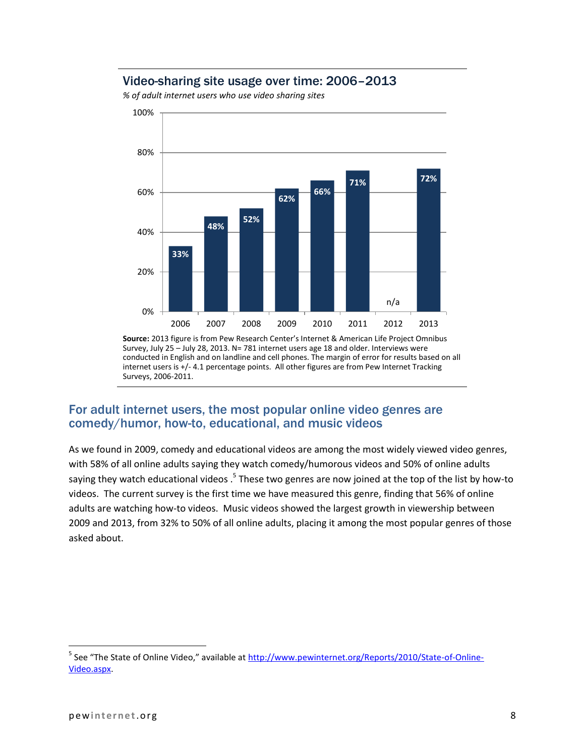#### Video-sharing site usage over time: 2006–2013



*% of adult internet users who use video sharing sites* 

#### For adult internet users, the most popular online video genres are comedy/humor, how-to, educational, and music videos

As we found in 2009, comedy and educational videos are among the most widely viewed video genres, with 58% of all online adults saying they watch comedy/humorous videos and 50% of online adults saying they watch educational videos .<sup>5</sup> These two genres are now joined at the top of the list by how-to videos. The current survey is the first time we have measured this genre, finding that 56% of online adults are watching how-to videos. Music videos showed the largest growth in viewership between 2009 and 2013, from 32% to 50% of all online adults, placing it among the most popular genres of those asked about.

 $\overline{\phantom{a}}$ 

**Source:** 2013 figure is from Pew Research Center's Internet & American Life Project Omnibus Survey, July 25 – July 28, 2013. N= 781 internet users age 18 and older. Interviews were conducted in English and on landline and cell phones. The margin of error for results based on all internet users is +/- 4.1 percentage points. All other figures are from Pew Internet Tracking Surveys, 2006-2011.

<sup>&</sup>lt;sup>5</sup> See "The State of Online Video," available at <u>http://www.pewinternet.org/Reports/2010/State-of-Online-</u> [Video.aspx.](http://www.pewinternet.org/Reports/2010/State-of-Online-Video.aspx)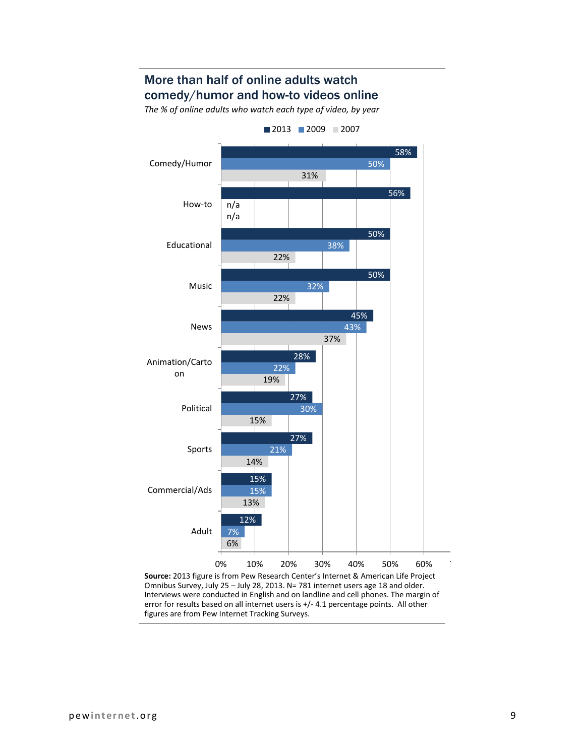## More than half of online adults watch comedy/humor and how-to videos online

*The % of online adults who watch each type of video, by year*



figures are from Pew Internet Tracking Surveys.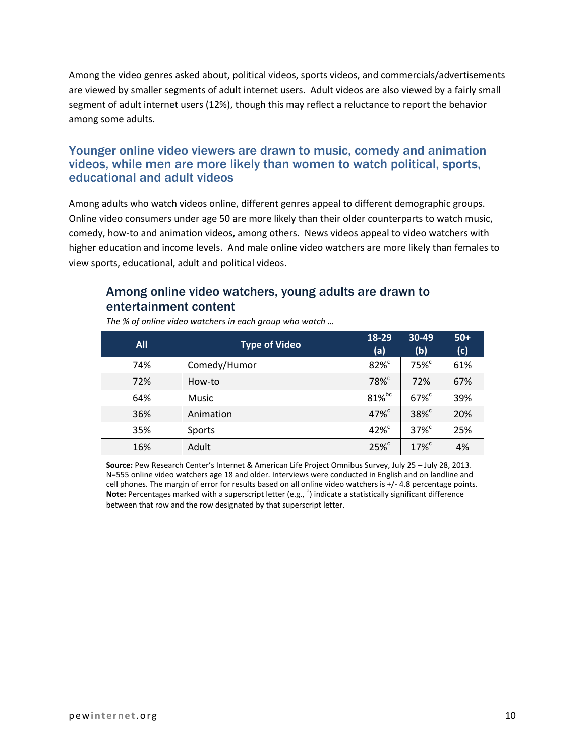Among the video genres asked about, political videos, sports videos, and commercials/advertisements are viewed by smaller segments of adult internet users. Adult videos are also viewed by a fairly small segment of adult internet users (12%), though this may reflect a reluctance to report the behavior among some adults.

#### Younger online video viewers are drawn to music, comedy and animation videos, while men are more likely than women to watch political, sports, educational and adult videos

Among adults who watch videos online, different genres appeal to different demographic groups. Online video consumers under age 50 are more likely than their older counterparts to watch music, comedy, how-to and animation videos, among others. News videos appeal to video watchers with higher education and income levels. And male online video watchers are more likely than females to view sports, educational, adult and political videos.

#### Among online video watchers, young adults are drawn to entertainment content

| <b>All</b> | <b>Type of Video</b> | 18-29<br>(a)         | 30-49<br>(b)        | $50+$<br>(c) |
|------------|----------------------|----------------------|---------------------|--------------|
| 74%        | Comedy/Humor         | $82\%$               | 75% <sup>c</sup>    | 61%          |
| 72%        | How-to               | 78% <sup>c</sup>     | 72%                 | 67%          |
| 64%        | Music                | $81\%$ <sub>bc</sub> | $67\%$ <sup>c</sup> | 39%          |
| 36%        | Animation            | $47\%$ <sup>c</sup>  | $38\%$ <sup>c</sup> | 20%          |
| 35%        | Sports               | $42\%$ <sup>c</sup>  | $37\%$ <sup>c</sup> | 25%          |
| 16%        | Adult                | $25\%$               | $17\%$ <sup>c</sup> | 4%           |

*The % of online video watchers in each group who watch …*

**Source:** Pew Research Center's Internet & American Life Project Omnibus Survey, July 25 – July 28, 2013. N=555 online video watchers age 18 and older. Interviews were conducted in English and on landline and cell phones. The margin of error for results based on all online video watchers is +/- 4.8 percentage points. Note: Percentages marked with a superscript letter (e.g., <sup>a</sup>) indicate a statistically significant difference between that row and the row designated by that superscript letter.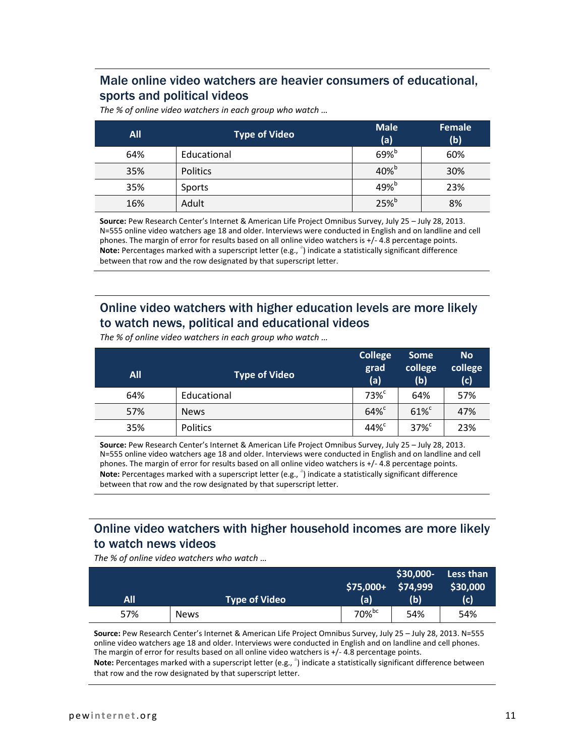## Male online video watchers are heavier consumers of educational, sports and political videos

*The % of online video watchers in each group who watch …*

| <b>All</b> | <b>Type of Video</b> | <b>Male</b><br>(a)  | Female<br>(b) |
|------------|----------------------|---------------------|---------------|
| 64%        | Educational          | $69\%$              | 60%           |
| 35%        | <b>Politics</b>      | $40\%$ <sup>b</sup> | 30%           |
| 35%        | Sports               | $49\%$ <sup>b</sup> | 23%           |
| 16%        | Adult                | $25\%$ <sup>b</sup> | 8%            |

**Source:** Pew Research Center's Internet & American Life Project Omnibus Survey, July 25 – July 28, 2013. N=555 online video watchers age 18 and older. Interviews were conducted in English and on landline and cell phones. The margin of error for results based on all online video watchers is +/- 4.8 percentage points. Note: Percentages marked with a superscript letter (e.g., <sup>a</sup>) indicate a statistically significant difference between that row and the row designated by that superscript letter.

## Online video watchers with higher education levels are more likely to watch news, political and educational videos

|     |               | <b>College</b>      | <b>Some</b>         | <b>No</b>      |
|-----|---------------|---------------------|---------------------|----------------|
| All | Type of Video | grad<br>(a)         | college<br>(b)      | college<br>(c) |
| 64% | Educational   | $73\%$ <sup>c</sup> | 64%                 | 57%            |
| 57% | <b>News</b>   | $64\%$              | $61\%$              | 47%            |
| 35% | Politics      | 44% <sup>c</sup>    | $37\%$ <sup>c</sup> | 23%            |

*The % of online video watchers in each group who watch …*

**Source:** Pew Research Center's Internet & American Life Project Omnibus Survey, July 25 – July 28, 2013. N=555 online video watchers age 18 and older. Interviews were conducted in English and on landline and cell phones. The margin of error for results based on all online video watchers is +/- 4.8 percentage points. **Note:** Percentages marked with a superscript letter (e.g., <sup>a</sup>) indicate a statistically significant difference between that row and the row designated by that superscript letter.

## Online video watchers with higher household incomes are more likely to watch news videos

*The % of online video watchers who watch …*

|     |                      | $$75,000+$ | $$30,000-$<br>\$74,999 | Less than<br>\$30,000 |
|-----|----------------------|------------|------------------------|-----------------------|
| All | <b>Type of Video</b> | (a)        | (b)                    | (c)                   |
| 57% | <b>News</b>          | 70%bc      | 54%                    | 54%                   |

**Source:** Pew Research Center's Internet & American Life Project Omnibus Survey, July 25 – July 28, 2013. N=555 online video watchers age 18 and older. Interviews were conducted in English and on landline and cell phones. The margin of error for results based on all online video watchers is +/- 4.8 percentage points.

Note: Percentages marked with a superscript letter (e.g., <sup>a</sup>) indicate a statistically significant difference between that row and the row designated by that superscript letter.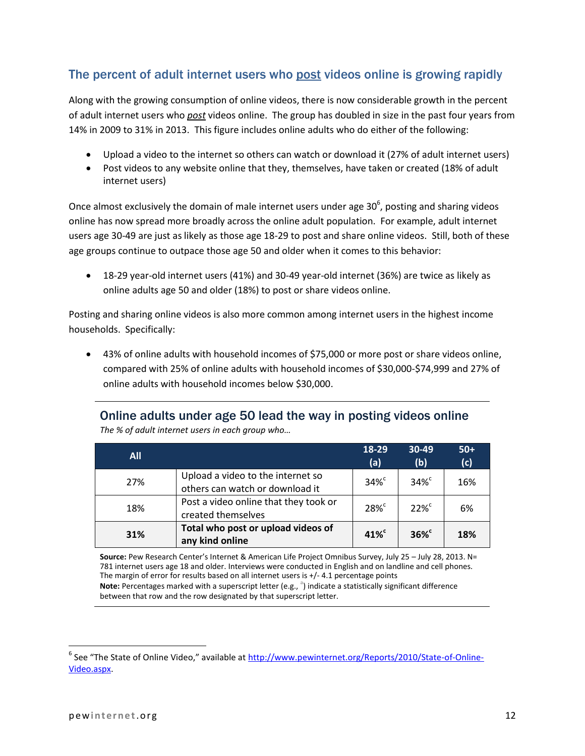## The percent of adult internet users who post videos online is growing rapidly

Along with the growing consumption of online videos, there is now considerable growth in the percent of adult internet users who *post* videos online. The group has doubled in size in the past four years from 14% in 2009 to 31% in 2013. This figure includes online adults who do either of the following:

- Upload a video to the internet so others can watch or download it (27% of adult internet users)
- Post videos to any website online that they, themselves, have taken or created (18% of adult internet users)

Once almost exclusively the domain of male internet users under age 30 $^6$ , posting and sharing videos online has now spread more broadly across the online adult population. For example, adult internet users age 30-49 are just as likely as those age 18-29 to post and share online videos. Still, both of these age groups continue to outpace those age 50 and older when it comes to this behavior:

 18-29 year-old internet users (41%) and 30-49 year-old internet (36%) are twice as likely as online adults age 50 and older (18%) to post or share videos online.

Posting and sharing online videos is also more common among internet users in the highest income households. Specifically:

 43% of online adults with household incomes of \$75,000 or more post or share videos online, compared with 25% of online adults with household incomes of \$30,000-\$74,999 and 27% of online adults with household incomes below \$30,000.

#### Online adults under age 50 lead the way in posting videos online *The % of adult internet users in each group who…*

| <b>All</b> |                                                                      | 18-29<br>(a)        | $30-49$<br>(b)      | $50+$<br>(c) |
|------------|----------------------------------------------------------------------|---------------------|---------------------|--------------|
| 27%        | Upload a video to the internet so<br>others can watch or download it | $34\%$ <sup>c</sup> | $34\%$ <sup>c</sup> | 16%          |
| 18%        | Post a video online that they took or<br>created themselves          | $28\%$ <sup>c</sup> | $22\%$              | 6%           |
| 31%        | Total who post or upload videos of<br>any kind online                | $41\%$ <sup>c</sup> | $36\%$              | 18%          |

**Source:** Pew Research Center's Internet & American Life Project Omnibus Survey, July 25 – July 28, 2013. N= 781 internet users age 18 and older. Interviews were conducted in English and on landline and cell phones. The margin of error for results based on all internet users is +/- 4.1 percentage points Note: Percentages marked with a superscript letter (e.g., <sup>a</sup>) indicate a statistically significant difference between that row and the row designated by that superscript letter.

 $\overline{\phantom{a}}$ 

<sup>&</sup>lt;sup>6</sup> See "The State of Online Video," available at <u>http://www.pewinternet.org/Reports/2010/State-of-Online-</u> [Video.aspx.](http://www.pewinternet.org/Reports/2010/State-of-Online-Video.aspx)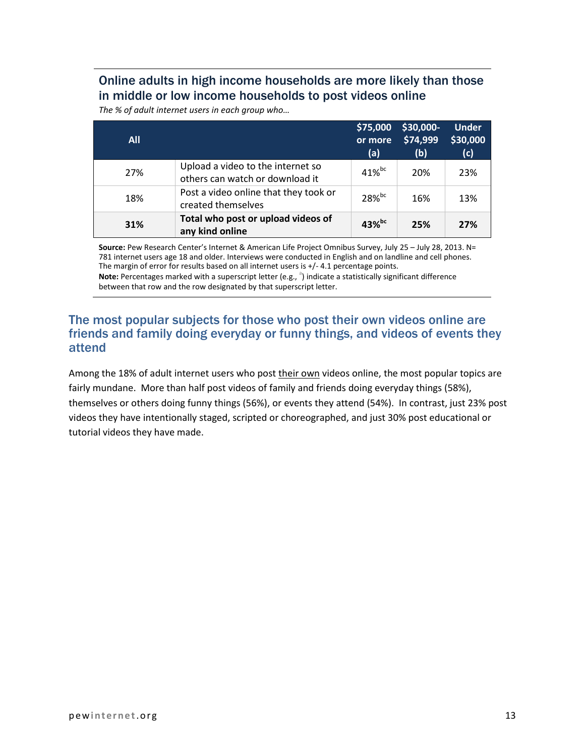## Online adults in high income households are more likely than those in middle or low income households to post videos online

*The % of adult internet users in each group who…*

| <b>All</b> |                                                                      | \$75,000<br>or more<br>(a) | \$30,000-<br>\$74,999<br>(b) | <b>Under</b><br>\$30,000<br>(c) |
|------------|----------------------------------------------------------------------|----------------------------|------------------------------|---------------------------------|
| 27%        | Upload a video to the internet so<br>others can watch or download it | $41\%$ <sub>bc</sub>       | 20%                          | 23%                             |
| 18%        | Post a video online that they took or<br>created themselves          | $28%$ <sub>bc</sub>        | 16%                          | 13%                             |
| 31%        | Total who post or upload videos of<br>any kind online                | $43\%$ <sup>bc</sup>       | 25%                          | 27%                             |

**Source:** Pew Research Center's Internet & American Life Project Omnibus Survey, July 25 – July 28, 2013. N= 781 internet users age 18 and older. Interviews were conducted in English and on landline and cell phones. The margin of error for results based on all internet users is +/- 4.1 percentage points. Note: Percentages marked with a superscript letter (e.g., <sup>a</sup>) indicate a statistically significant difference between that row and the row designated by that superscript letter.

#### The most popular subjects for those who post their own videos online are friends and family doing everyday or funny things, and videos of events they attend

Among the 18% of adult internet users who post their own videos online, the most popular topics are fairly mundane. More than half post videos of family and friends doing everyday things (58%), themselves or others doing funny things (56%), or events they attend (54%). In contrast, just 23% post videos they have intentionally staged, scripted or choreographed, and just 30% post educational or tutorial videos they have made.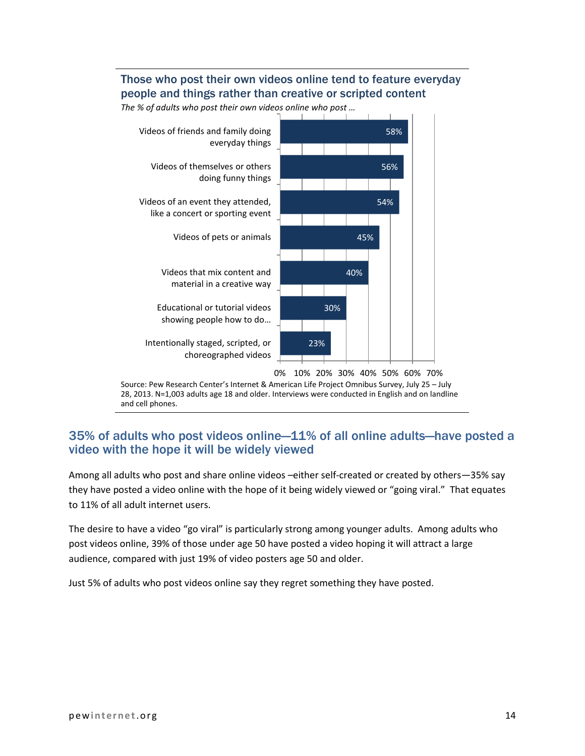#### Those who post their own videos online tend to feature everyday people and things rather than creative or scripted content



*The % of adults who post their own videos online who post …*

Source: Pew Research Center's Internet & American Life Project Omnibus Survey, July 25 – July 28, 2013. N=1,003 adults age 18 and older. Interviews were conducted in English and on landline and cell phones.

#### 35% of adults who post videos online—11% of all online adults—have posted a video with the hope it will be widely viewed

Among all adults who post and share online videos –either self-created or created by others—35% say they have posted a video online with the hope of it being widely viewed or "going viral." That equates to 11% of all adult internet users.

The desire to have a video "go viral" is particularly strong among younger adults. Among adults who post videos online, 39% of those under age 50 have posted a video hoping it will attract a large audience, compared with just 19% of video posters age 50 and older.

Just 5% of adults who post videos online say they regret something they have posted.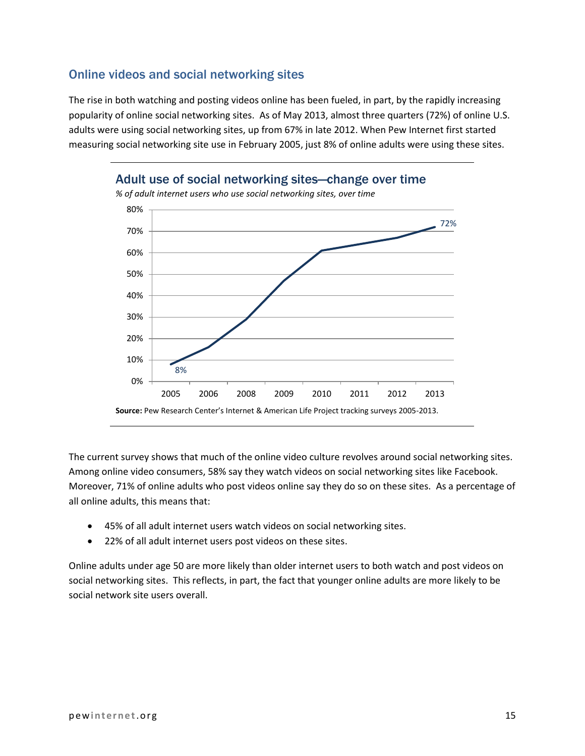#### Online videos and social networking sites

The rise in both watching and posting videos online has been fueled, in part, by the rapidly increasing popularity of online social networking sites. As of May 2013, almost three quarters (72%) of online U.S. adults were using social networking sites, up from 67% in late 2012. When Pew Internet first started measuring social networking site use in February 2005, just 8% of online adults were using these sites.



The current survey shows that much of the online video culture revolves around social networking sites. Among online video consumers, 58% say they watch videos on social networking sites like Facebook. Moreover, 71% of online adults who post videos online say they do so on these sites. As a percentage of all online adults, this means that:

- 45% of all adult internet users watch videos on social networking sites.
- 22% of all adult internet users post videos on these sites.

Online adults under age 50 are more likely than older internet users to both watch and post videos on social networking sites. This reflects, in part, the fact that younger online adults are more likely to be social network site users overall.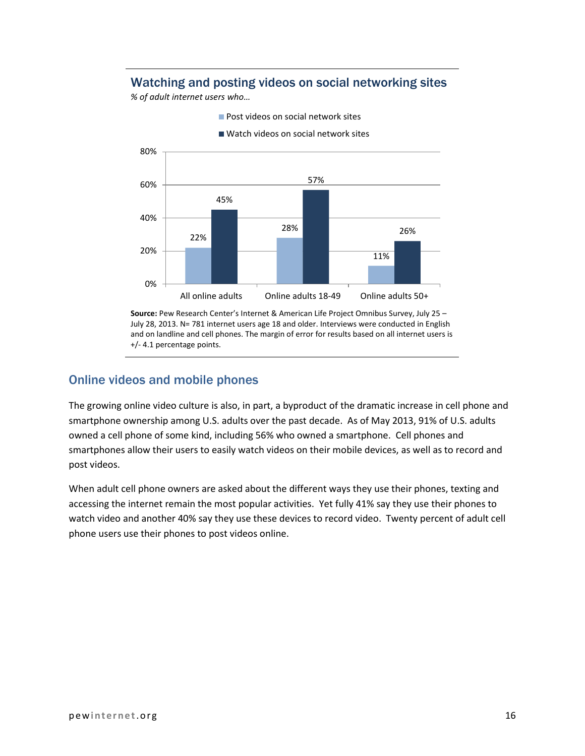#### Watching and posting videos on social networking sites

*% of adult internet users who…*



**Post videos on social network sites** 

**Source:** Pew Research Center's Internet & American Life Project Omnibus Survey, July 25 – July 28, 2013. N= 781 internet users age 18 and older. Interviews were conducted in English and on landline and cell phones. The margin of error for results based on all internet users is +/- 4.1 percentage points.

#### Online videos and mobile phones

The growing online video culture is also, in part, a byproduct of the dramatic increase in cell phone and smartphone ownership among U.S. adults over the past decade. As of May 2013, 91% of U.S. adults owned a cell phone of some kind, including 56% who owned a smartphone. Cell phones and smartphones allow their users to easily watch videos on their mobile devices, as well as to record and post videos.

When adult cell phone owners are asked about the different ways they use their phones, texting and accessing the internet remain the most popular activities. Yet fully 41% say they use their phones to watch video and another 40% say they use these devices to record video. Twenty percent of adult cell phone users use their phones to post videos online.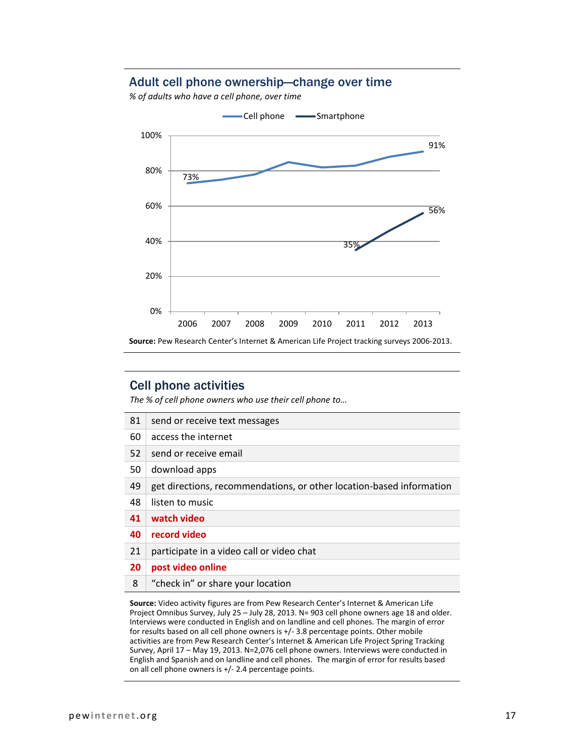#### Adult cell phone ownership—change over time

*% of adults who have a cell phone, over time*



#### Cell phone activities

*The % of cell phone owners who use their cell phone to…*

| 81 | send or receive text messages                                        |
|----|----------------------------------------------------------------------|
| 60 | access the internet                                                  |
| 52 | send or receive email                                                |
| 50 | download apps                                                        |
| 49 | get directions, recommendations, or other location-based information |
| 48 | listen to music                                                      |
| 41 | watch video                                                          |
| 40 | record video                                                         |
| 21 | participate in a video call or video chat                            |
| 20 | post video online                                                    |
| 8  | "check in" or share your location                                    |

**Source:** Video activity figures are from Pew Research Center's Internet & American Life Project Omnibus Survey, July 25 – July 28, 2013. N= 903 cell phone owners age 18 and older. Interviews were conducted in English and on landline and cell phones. The margin of error for results based on all cell phone owners is +/- 3.8 percentage points. Other mobile activities are from Pew Research Center's Internet & American Life Project Spring Tracking Survey, April 17 – May 19, 2013. N=2,076 cell phone owners. Interviews were conducted in English and Spanish and on landline and cell phones. The margin of error for results based on all cell phone owners is +/- 2.4 percentage points.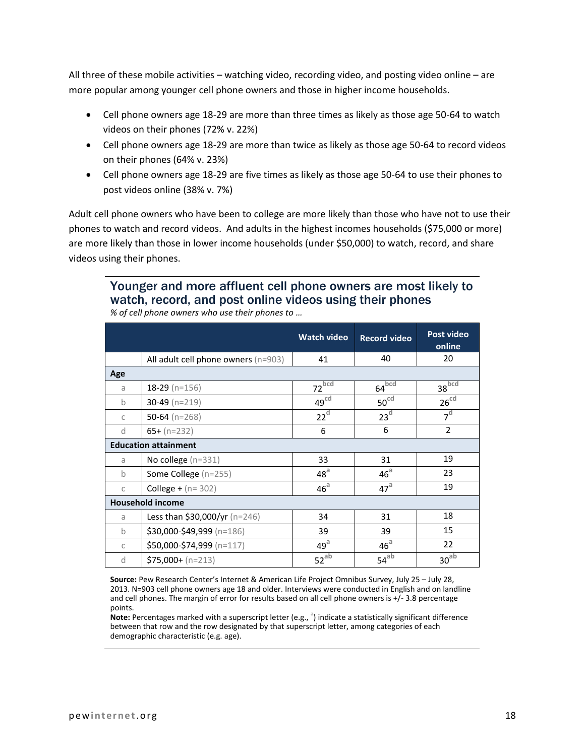All three of these mobile activities – watching video, recording video, and posting video online – are more popular among younger cell phone owners and those in higher income households.

- Cell phone owners age 18-29 are more than three times as likely as those age 50-64 to watch videos on their phones (72% v. 22%)
- Cell phone owners age 18-29 are more than twice as likely as those age 50-64 to record videos on their phones (64% v. 23%)
- Cell phone owners age 18-29 are five times as likely as those age 50-64 to use their phones to post videos online (38% v. 7%)

Adult cell phone owners who have been to college are more likely than those who have not to use their phones to watch and record videos. And adults in the highest incomes households (\$75,000 or more) are more likely than those in lower income households (under \$50,000) to watch, record, and share videos using their phones.

#### Younger and more affluent cell phone owners are most likely to watch, record, and post online videos using their phones *% of cell phone owners who use their phones to …*

|               |                                       | <b>Watch video</b>  | <b>Record video</b> | Post video<br>online |
|---------------|---------------------------------------|---------------------|---------------------|----------------------|
|               | All adult cell phone owners $(n=903)$ | 41                  | 40                  | 20                   |
| Age           |                                       |                     |                     |                      |
| a             | 18-29 ( $n=156$ )                     | $72$ <sub>bcd</sub> | $64\overline{b}$ cd | $38\overline{b}$ cd  |
| $\mathbf b$   | 30-49 $(n=219)$                       | 49 <sup>cd</sup>    | 50 <sup>cd</sup>    | 26 <sup>cd</sup>     |
| $\mathsf{C}$  | 50-64 ( $n=268$ )                     | 22 <sup>d</sup>     | 23 <sup>d</sup>     | 7 <sup>d</sup>       |
| d             | $65+ (n=232)$                         | 6                   | 6                   | $\overline{2}$       |
|               | <b>Education attainment</b>           |                     |                     |                      |
| a             | No college (n=331)                    | 33                  | 31                  | 19                   |
| $\mathbf b$   | Some College (n=255)                  | 48 <sup>a</sup>     | 46 <sup>a</sup>     | 23                   |
| C             | <b>College +</b> ( $n = 302$ )        | 46 <sup>a</sup>     | 47 <sup>a</sup>     | 19                   |
|               | <b>Household income</b>               |                     |                     |                      |
| a             | <b>Less than \$30,000/yr</b> (n=246)  | 34                  | 31                  | 18                   |
| $\mathbf b$   | \$30,000-\$49,999 (n=186)             | 39                  | 39                  | 15                   |
| $\mathcal{C}$ | \$50,000-\$74,999 (n=117)             | $49^{\text{a}}$     | 46 <sup>a</sup>     | 22                   |
| <sub>d</sub>  | $$75,000 + (n=213)$                   | $52^{ab}$           | $54^{ab}$           | 30 <sup>ab</sup>     |

**Source:** Pew Research Center's Internet & American Life Project Omnibus Survey, July 25 – July 28, 2013. N=903 cell phone owners age 18 and older. Interviews were conducted in English and on landline and cell phones. The margin of error for results based on all cell phone owners is +/- 3.8 percentage points.

.<br>**Note:** Percentages marked with a superscript letter (e.g., <sup>a</sup>) indicate a statistically significant difference between that row and the row designated by that superscript letter, among categories of each demographic characteristic (e.g. age).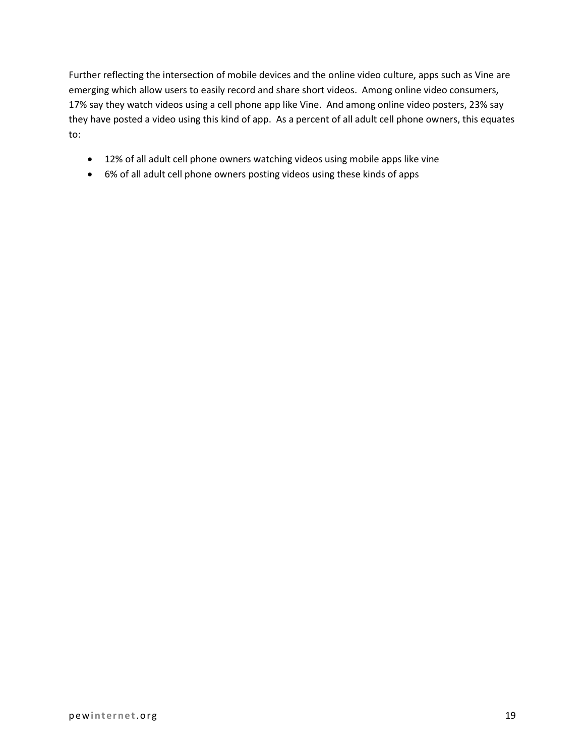Further reflecting the intersection of mobile devices and the online video culture, apps such as Vine are emerging which allow users to easily record and share short videos. Among online video consumers, 17% say they watch videos using a cell phone app like Vine. And among online video posters, 23% say they have posted a video using this kind of app. As a percent of all adult cell phone owners, this equates to:

- 12% of all adult cell phone owners watching videos using mobile apps like vine
- 6% of all adult cell phone owners posting videos using these kinds of apps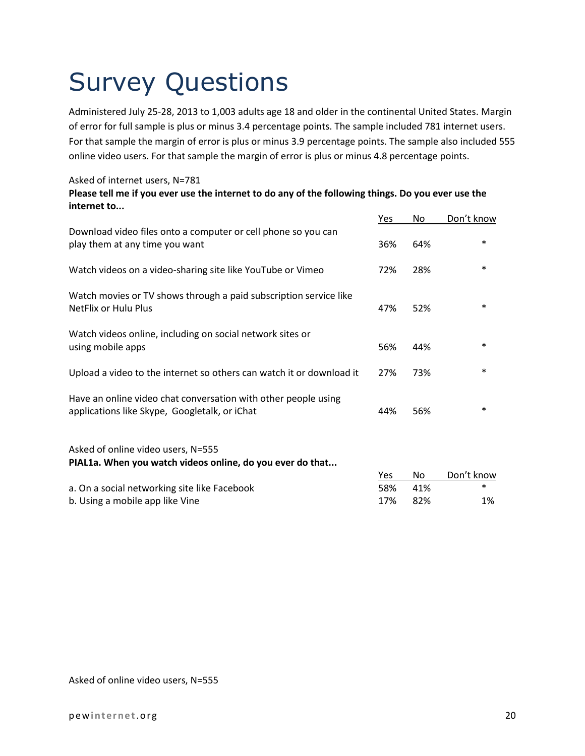# Survey Questions

Administered July 25-28, 2013 to 1,003 adults age 18 and older in the continental United States. Margin of error for full sample is plus or minus 3.4 percentage points. The sample included 781 internet users. For that sample the margin of error is plus or minus 3.9 percentage points. The sample also included 555 online video users. For that sample the margin of error is plus or minus 4.8 percentage points.

#### Asked of internet users, N=781

#### **Please tell me if you ever use the internet to do any of the following things. Do you ever use the internet to...**

|                                                                                                                 | <u>Yes</u> | No  | Don't know |
|-----------------------------------------------------------------------------------------------------------------|------------|-----|------------|
| Download video files onto a computer or cell phone so you can<br>play them at any time you want                 | 36%        | 64% | $\ast$     |
| Watch videos on a video-sharing site like YouTube or Vimeo                                                      | 72%        | 28% | $\ast$     |
| Watch movies or TV shows through a paid subscription service like<br>NetFlix or Hulu Plus                       | 47%        | 52% | $\ast$     |
| Watch videos online, including on social network sites or<br>using mobile apps                                  | 56%        | 44% | $\ast$     |
| Upload a video to the internet so others can watch it or download it                                            | 27%        | 73% | $\ast$     |
| Have an online video chat conversation with other people using<br>applications like Skype, Googletalk, or iChat | 44%        | 56% | $\ast$     |
| Asked of online video users, N=555<br>PIAL1a. When you watch videos online, do you ever do that                 |            |     |            |
|                                                                                                                 | Yes        | No  | Don't know |
| a. On a social networking site like Facebook                                                                    | 58%        | 41% | $\ast$     |
| b. Using a mobile app like Vine                                                                                 | 17%        | 82% | 1%         |

Asked of online video users, N=555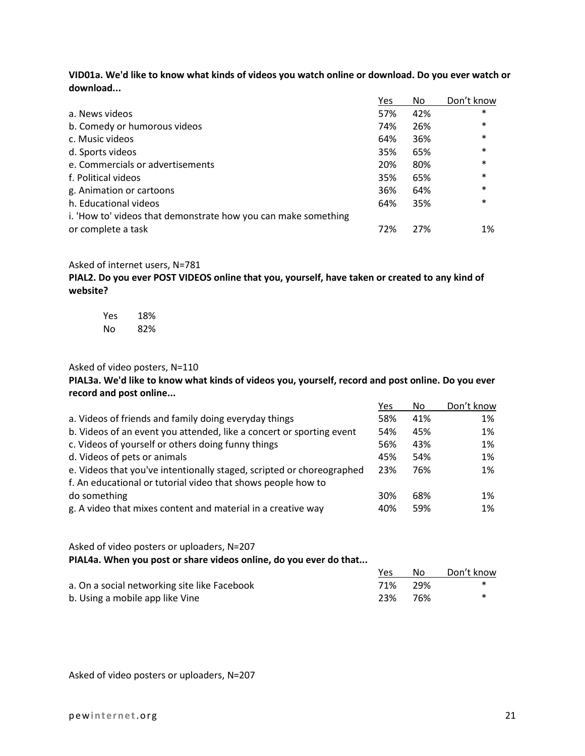**VID01a. We'd like to know what kinds of videos you watch online or download. Do you ever watch or download...**

|                                                                | Yes | No  | Don't know |
|----------------------------------------------------------------|-----|-----|------------|
| a. News videos                                                 | 57% | 42% | $\ast$     |
| b. Comedy or humorous videos                                   | 74% | 26% | $\ast$     |
| c. Music videos                                                | 64% | 36% | $\ast$     |
| d. Sports videos                                               | 35% | 65% | $\ast$     |
| e. Commercials or advertisements                               | 20% | 80% | $\ast$     |
| f. Political videos                                            | 35% | 65% | $\ast$     |
| g. Animation or cartoons                                       | 36% | 64% | $\ast$     |
| h. Educational videos                                          | 64% | 35% | $\ast$     |
| i. 'How to' videos that demonstrate how you can make something |     |     |            |
| or complete a task                                             | 72% | 27% | 1%         |

#### Asked of internet users, N=781

**PIAL2. Do you ever POST VIDEOS online that you, yourself, have taken or created to any kind of website?**

| Yes | 18% |
|-----|-----|
| Nο  | 82% |

#### Asked of video posters, N=110

**PIAL3a. We'd like to know what kinds of videos you, yourself, record and post online. Do you ever record and post online...**

|                                                                       | Yes | No. | Don't know |
|-----------------------------------------------------------------------|-----|-----|------------|
| a. Videos of friends and family doing everyday things                 | 58% | 41% | 1%         |
| b. Videos of an event you attended, like a concert or sporting event  | 54% | 45% | 1%         |
| c. Videos of yourself or others doing funny things                    | 56% | 43% | 1%         |
| d. Videos of pets or animals                                          | 45% | 54% | 1%         |
| e. Videos that you've intentionally staged, scripted or choreographed | 23% | 76% | $1\%$      |
| f. An educational or tutorial video that shows people how to          |     |     |            |
| do something                                                          | 30% | 68% | $1\%$      |
| g. A video that mixes content and material in a creative way          | 40% | 59% | $1\%$      |

#### Asked of video posters or uploaders, N=207 **PIAL4a. When you post or share videos online, do you ever do that...**

Yes No Don't know a. On a social networking site like Facebook  $29\%$   $71\%$  29%  $*$ b. Using a mobile app like Vine 23% 76% \*

Asked of video posters or uploaders, N=207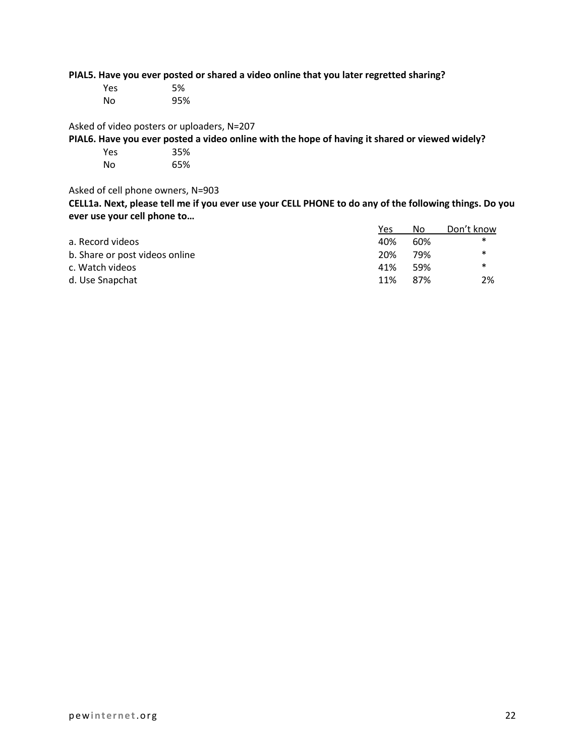**PIAL5. Have you ever posted or shared a video online that you later regretted sharing?**

| Yes | 5%  |
|-----|-----|
| No  | 95% |

Asked of video posters or uploaders, N=207

**PIAL6. Have you ever posted a video online with the hope of having it shared or viewed widely?**

| Yes | 35% |
|-----|-----|
| No  | 65% |

Asked of cell phone owners, N=903

**CELL1a. Next, please tell me if you ever use your CELL PHONE to do any of the following things. Do you ever use your cell phone to…**

|                                | Yes | No   | Don't know |
|--------------------------------|-----|------|------------|
| a. Record videos               | 40% | 60%  | ∗          |
| b. Share or post videos online | 20% | 79%  | $\ast$     |
| c. Watch videos                | 41% | .59% | ∗          |
| d. Use Snapchat                | 11% | 87%  | 2%         |